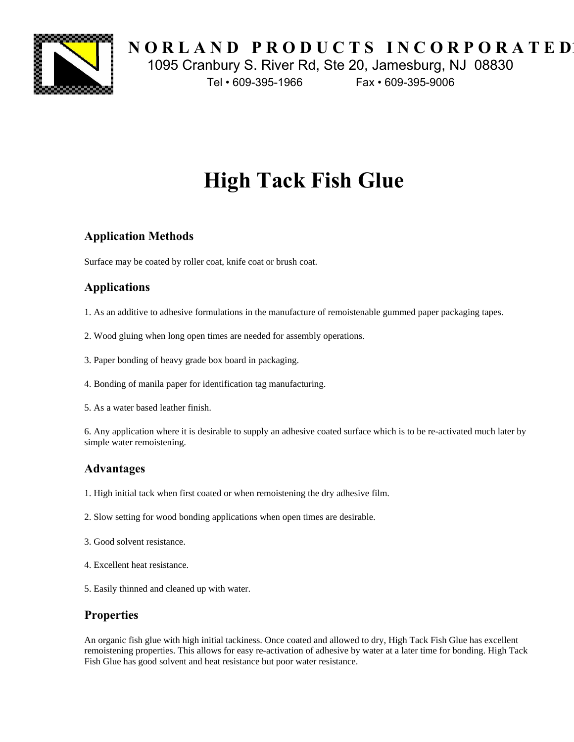

**NORLAND PRODUCTS INCORPORATED** 1095 Cranbury S. River Rd, Ste 20, Jamesburg, NJ 08830

Tel • 609-395-1966 Fax • 609-395-9006

# **High Tack Fish Glue**

# **Application Methods**

Surface may be coated by roller coat, knife coat or brush coat.

# **Applications**

- 1. As an additive to adhesive formulations in the manufacture of remoistenable gummed paper packaging tapes.
- 2. Wood gluing when long open times are needed for assembly operations.
- 3. Paper bonding of heavy grade box board in packaging.
- 4. Bonding of manila paper for identification tag manufacturing.
- 5. As a water based leather finish.

6. Any application where it is desirable to supply an adhesive coated surface which is to be re-activated much later by simple water remoistening.

### **Advantages**

- 1. High initial tack when first coated or when remoistening the dry adhesive film.
- 2. Slow setting for wood bonding applications when open times are desirable.
- 3. Good solvent resistance.
- 4. Excellent heat resistance.
- 5. Easily thinned and cleaned up with water.

### **Properties**

An organic fish glue with high initial tackiness. Once coated and allowed to dry, High Tack Fish Glue has excellent remoistening properties. This allows for easy re-activation of adhesive by water at a later time for bonding. High Tack Fish Glue has good solvent and heat resistance but poor water resistance.